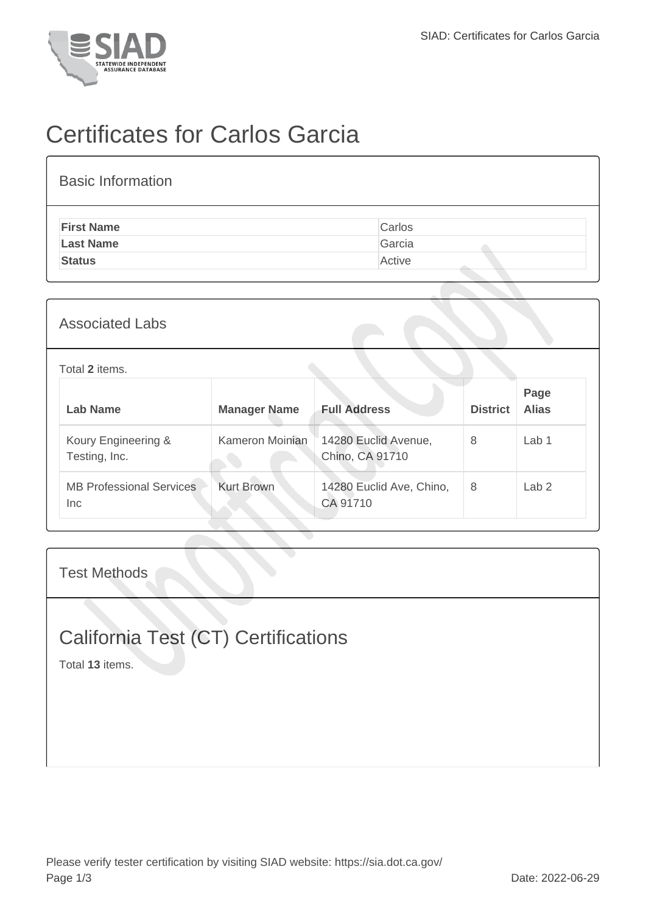

# Certificates for Carlos Garcia

| <b>Basic Information</b> |        |
|--------------------------|--------|
| <b>First Name</b>        | Carlos |
| <b>Last Name</b>         | Garcia |
| <b>Status</b>            | Active |

#### Associated Labs

#### Total **2** items.

| Lab Name                                | <b>Manager Name</b> | <b>Full Address</b>                     | <b>District</b> | Page<br><b>Alias</b> |
|-----------------------------------------|---------------------|-----------------------------------------|-----------------|----------------------|
| Koury Engineering &<br>Testing, Inc.    | Kameron Moinian     | 14280 Euclid Avenue,<br>Chino, CA 91710 | 8               | Lab <sub>1</sub>     |
| <b>MB Professional Services</b><br>Inc. | <b>Kurt Brown</b>   | 14280 Euclid Ave, Chino,<br>CA 91710    | 8               | Lab <sub>2</sub>     |

#### Test Methods

### California Test (CT) Certifications

Total **13** items.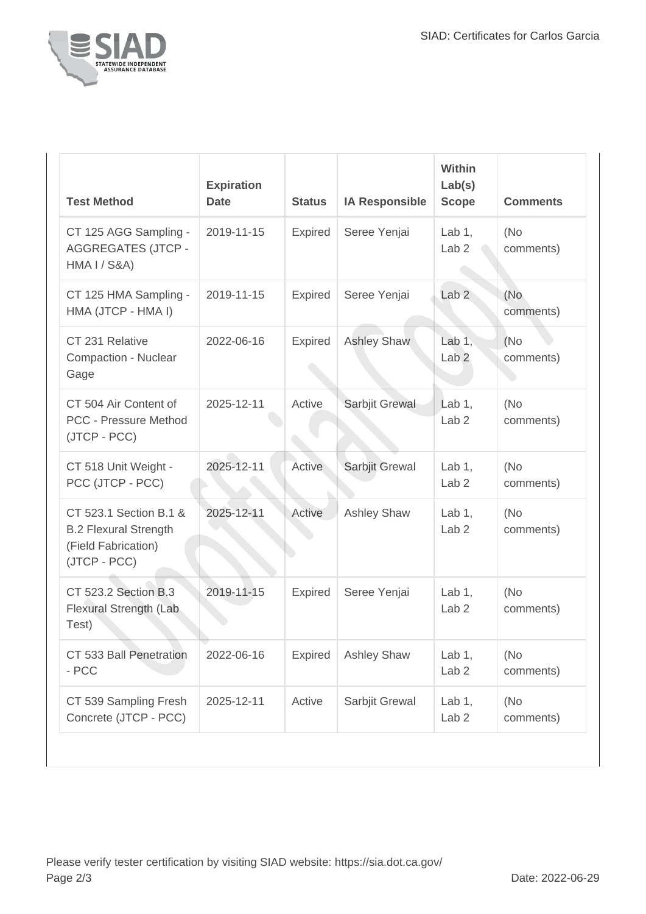

| <b>Test Method</b>                                                                            | <b>Expiration</b><br><b>Date</b> | <b>Status</b>  | <b>IA Responsible</b> | Within<br>Lab(s)<br><b>Scope</b> | <b>Comments</b>   |
|-----------------------------------------------------------------------------------------------|----------------------------------|----------------|-----------------------|----------------------------------|-------------------|
| CT 125 AGG Sampling -<br><b>AGGREGATES (JTCP -</b><br><b>HMA I / S&amp;A)</b>                 | 2019-11-15                       | <b>Expired</b> | Seree Yenjai          | Lab $1$ ,<br>Lab <sub>2</sub>    | (No)<br>comments) |
| CT 125 HMA Sampling -<br>HMA (JTCP - HMA I)                                                   | 2019-11-15                       | <b>Expired</b> | Seree Yenjai          | Lab <sub>2</sub>                 | (No<br>comments)  |
| CT 231 Relative<br>Compaction - Nuclear<br>Gage                                               | 2022-06-16                       | <b>Expired</b> | <b>Ashley Shaw</b>    | Lab $1$ ,<br>Lab <sub>2</sub>    | (No)<br>comments) |
| CT 504 Air Content of<br><b>PCC - Pressure Method</b><br>(JTCP - PCC)                         | 2025-12-11                       | Active         | Sarbjit Grewal        | Lab $1,$<br>Lab <sub>2</sub>     | (No)<br>comments) |
| CT 518 Unit Weight -<br>PCC (JTCP - PCC)                                                      | 2025-12-11                       | Active         | Sarbjit Grewal        | Lab $1$ ,<br>Lab <sub>2</sub>    | (No<br>comments)  |
| CT 523.1 Section B.1 &<br><b>B.2 Flexural Strength</b><br>(Field Fabrication)<br>(JTCP - PCC) | 2025-12-11                       | Active         | <b>Ashley Shaw</b>    | Lab $1$ ,<br>Lab <sub>2</sub>    | (No)<br>comments) |
| CT 523.2 Section B.3<br>Flexural Strength (Lab<br>Test)                                       | 2019-11-15                       | <b>Expired</b> | Seree Yenjai          | Lab $1$ ,<br>Lab <sub>2</sub>    | (No)<br>comments) |
| CT 533 Ball Penetration<br>- PCC                                                              | 2022-06-16                       | <b>Expired</b> | <b>Ashley Shaw</b>    | Lab $1,$<br>Lab <sub>2</sub>     | (No)<br>comments) |
| CT 539 Sampling Fresh<br>Concrete (JTCP - PCC)                                                | 2025-12-11                       | Active         | Sarbjit Grewal        | Lab $1,$<br>Lab <sub>2</sub>     | (No<br>comments)  |